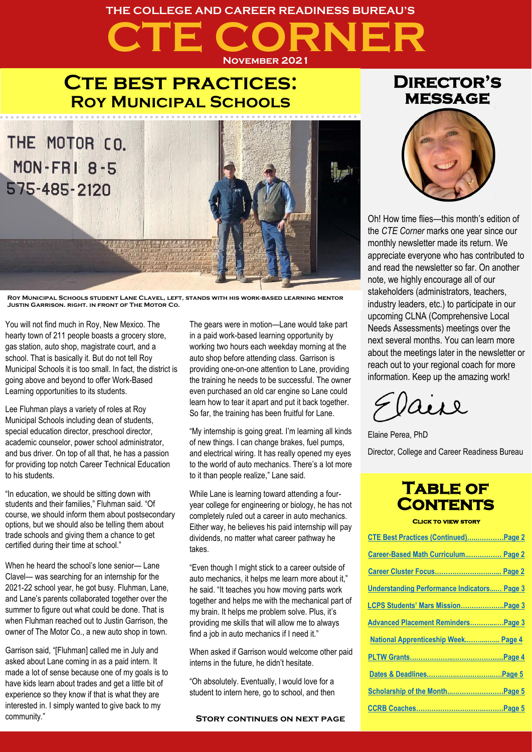## **CTE CORNER THE COLLEGE AND CAREER READINESS BUREAU'S November 2021**

## **CTE BEST PRACTICES: Roy Municipal Schools**



**Roy Municipal Schools student Lane Clavel, left, stands with his work-based learning mentor Justin Garrison, right, in front of The Motor Co.**

You will not find much in Roy, New Mexico. The hearty town of 211 people boasts a grocery store, gas station, auto shop, magistrate court, and a school. That is basically it. But do not tell Roy Municipal Schools it is too small. In fact, the district is going above and beyond to offer Work-Based Learning opportunities to its students.

Lee Fluhman plays a variety of roles at Roy Municipal Schools including dean of students, special education director, preschool director, academic counselor, power school administrator, and bus driver. On top of all that, he has a passion for providing top notch Career Technical Education to his students.

"In education, we should be sitting down with students and their families," Fluhman said. "Of course, we should inform them about postsecondary options, but we should also be telling them about trade schools and giving them a chance to get certified during their time at school."

When he heard the school's lone senior— Lane Clavel— was searching for an internship for the 2021-22 school year, he got busy. Fluhman, Lane, and Lane's parents collaborated together over the summer to figure out what could be done. That is when Fluhman reached out to Justin Garrison, the owner of The Motor Co., a new auto shop in town.

Garrison said, "[Fluhman] called me in July and asked about Lane coming in as a paid intern. It made a lot of sense because one of my goals is to have kids learn about trades and get a little bit of experience so they know if that is what they are interested in. I simply wanted to give back to my community."

The gears were in motion—Lane would take part in a paid work-based learning opportunity by working two hours each weekday morning at the auto shop before attending class. Garrison is providing one-on-one attention to Lane, providing the training he needs to be successful. The owner even purchased an old car engine so Lane could learn how to tear it apart and put it back together. So far, the training has been fruitful for Lane.

"My internship is going great. I'm learning all kinds of new things. I can change brakes, fuel pumps, and electrical wiring. It has really opened my eyes to the world of auto mechanics. There's a lot more to it than people realize," Lane said.

While Lane is learning toward attending a fouryear college for engineering or biology, he has not completely ruled out a career in auto mechanics. Either way, he believes his paid internship will pay dividends, no matter what career pathway he takes.

"Even though I might stick to a career outside of auto mechanics, it helps me learn more about it," he said. "It teaches you how moving parts work together and helps me with the mechanical part of my brain. It helps me problem solve. Plus, it's providing me skills that will allow me to always find a job in auto mechanics if I need it."

When asked if Garrison would welcome other paid interns in the future, he didn't hesitate.

"Oh absolutely. Eventually, I would love for a student to intern here, go to school, and then

### **Director's message**



Oh! How time flies—this month's edition of the *CTE Corner* marks one year since our monthly newsletter made its return. We appreciate everyone who has contributed to and read the newsletter so far. On another note, we highly encourage all of our stakeholders (administrators, teachers, industry leaders, etc.) to participate in our upcoming CLNA (Comprehensive Local Needs Assessments) meetings over the next several months. You can learn more about the meetings later in the newsletter or reach out to your regional coach for more information. Keep up the amazing work!

aire

Elaine Perea, PhD Director, College and Career Readiness Bureau

## **Table of Contents**

**Click to view story** 

| CTE Best Practices (Continued)Page 2               |  |
|----------------------------------------------------|--|
| Career-Based Math Curriculum Page 2                |  |
| Career Cluster Focus Page 2                        |  |
| <b>Understanding Performance Indicators Page 3</b> |  |
| LCPS Students' Mars MissionPage 3                  |  |
| Advanced Placement Reminders Page 3                |  |
| National Apprenticeship Week Page 4                |  |
|                                                    |  |
|                                                    |  |
|                                                    |  |
|                                                    |  |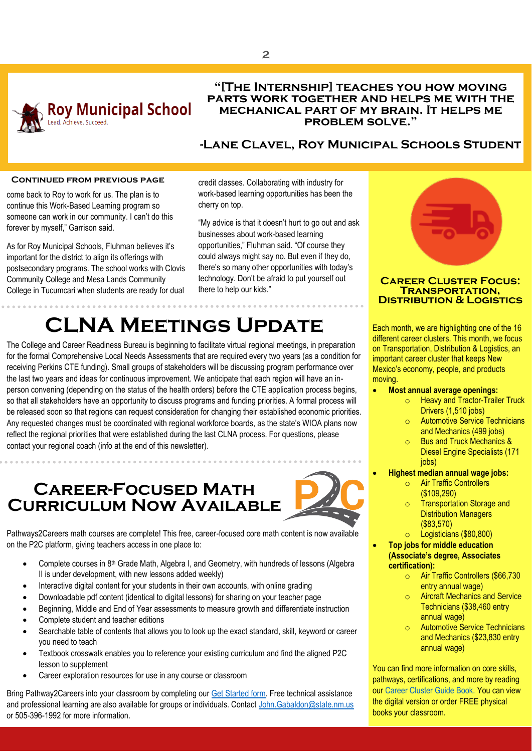

### **"[The Internship] teaches you how moving parts work together and helps me with the mechanical part of my brain. It helps me problem solve."**

### **-Lane Clavel, Roy Municipal Schools Student**

### **Continued from previous page**

<span id="page-1-0"></span>come back to Roy to work for us. The plan is to continue this Work-Based Learning program so someone can work in our community. I can't do this forever by myself," Garrison said.

As for Roy Municipal Schools, Fluhman believes it's important for the district to align its offerings with postsecondary programs. The school works with Clovis Community College and Mesa Lands Community College in Tucumcari when students are ready for dual credit classes. Collaborating with industry for work-based learning opportunities has been the cherry on top.

"My advice is that it doesn't hurt to go out and ask businesses about work-based learning opportunities," Fluhman said. "Of course they could always might say no. But even if they do, there's so many other opportunities with today's technology. Don't be afraid to put yourself out there to help our kids."

# **CLNA Meetings Update**

The College and Career Readiness Bureau is beginning to facilitate virtual regional meetings, in preparation for the formal Comprehensive Local Needs Assessments that are required every two years (as a condition for receiving Perkins CTE funding). Small groups of stakeholders will be discussing program performance over the last two years and ideas for continuous improvement. We anticipate that each region will have an inperson convening (depending on the status of the health orders) before the CTE application process begins, so that all stakeholders have an opportunity to discuss programs and funding priorities. A formal process will be released soon so that regions can request consideration for changing their established economic priorities. Any requested changes must be coordinated with regional workforce boards, as the state's WIOA plans now reflect the regional priorities that were established during the last CLNA process. For questions, please contact your regional coach (info at the end of this newsletter).

<span id="page-1-1"></span>**Career-Focused Math Curriculum Now Available**



Pathways2Careers math courses are complete! This free, career-focused core math content is now available on the P2C platform, giving teachers access in one place to:

- Complete courses in 8<sup>th</sup> Grade Math, Algebra I, and Geometry, with hundreds of lessons (Algebra II is under development, with new lessons added weekly)
- Interactive digital content for your students in their own accounts, with online grading
- Downloadable pdf content (identical to digital lessons) for sharing on your teacher page
- Beginning, Middle and End of Year assessments to measure growth and differentiate instruction
- Complete student and teacher editions
- Searchable table of contents that allows you to look up the exact standard, skill, keyword or career you need to teach
- Textbook crosswalk enables you to reference your existing curriculum and find the aligned P2C lesson to supplement
- Career exploration resources for use in any course or classroom

Bring Pathway2Careers into your classroom by completing ou[r Get Started form.](https://www.careers2communities.com/p2c-implementation/) Free technical assistance and professional learning are also available for groups or individuals. Contac[t John.Gabaldon@state.nm.us](mailto:John.Gabaldon@state.nm.us) or 505-396-1992 for more information.



### <span id="page-1-2"></span>**Career Cluster Focus: Transportation, Distribution & Logistics**

Each month, we are highlighting one of the 16 different career clusters. This month, we focus on Transportation, Distribution & Logistics, an important career cluster that keeps New Mexico's economy, people, and products moving.

- **Most annual average openings:** 
	- o Heavy and Tractor-Trailer Truck Drivers (1,510 jobs)
	- **Automotive Service Technicians** and Mechanics (499 jobs)
	- o Bus and Truck Mechanics & Diesel Engine Specialists (171 jobs)
- **Highest median annual wage jobs:** 
	- o Air Traffic Controllers (\$109,290)
	- o Transportation Storage and Distribution Managers (\$83,570)
	- o Logisticians (\$80,800)
	- **Top jobs for middle education (Associate's degree, Associates certification):** 
		- o Air Traffic Controllers (\$66,730 entry annual wage)
		- **Aircraft Mechanics and Service** Technicians (\$38,460 entry annual wage)
		- **Automotive Service Technicians** and Mechanics (\$23,830 entry annual wage)

You can find more information on core skills, pathways, certifications, and more by reading our Career Cluster Guide Book. You can view the digital version or order FREE physical books your classroom.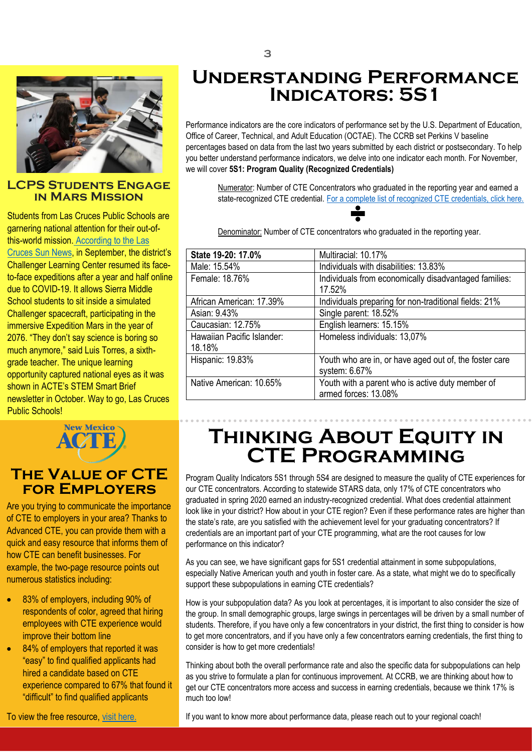

### <span id="page-2-1"></span>**LCPS Students Engage in Mars Mission**

Students from Las Cruces Public Schools are garnering national attention for their out-ofthis-world mission. [According to the Las](https://www.lcsun-news.com/story/news/education/2021/09/15/las-cruces-challenger-center-reopens-students-explore-space-science/8331850002/)  [Cruces Sun News](https://www.lcsun-news.com/story/news/education/2021/09/15/las-cruces-challenger-center-reopens-students-explore-space-science/8331850002/), in September, the district's Challenger Learning Center resumed its faceto-face expeditions after a year and half online due to COVID-19. It allows Sierra Middle School students to sit inside a simulated Challenger spacecraft, participating in the immersive Expedition Mars in the year of 2076. "They don't say science is boring so much anymore," said Luis Torres, a sixthgrade teacher. The unique learning opportunity captured national eyes as it was shown in ACTE's STEM Smart Brief newsletter in October. Way to go, Las Cruces Public Schools!



### **The Value of CTE for Employers**

Are you trying to communicate the importance of CTE to employers in your area? Thanks to Advanced CTE, you can provide them with a quick and easy resource that informs them of how CTE can benefit businesses. For example, the two-page resource points out numerous statistics including:

- 83% of employers, including 90% of respondents of color, agreed that hiring employees with CTE experience would improve their bottom line
- 84% of employers that reported it was "easy" to find qualified applicants had hired a candidate based on CTE experience compared to 67% that found it "difficult" to find qualified applicants

To view the free resource, [visit here.](https://cte.careertech.org/sites/default/files/EmployerResearchReport_KeyMessages.pdf)

## <span id="page-2-0"></span>**Understanding Performance Indicators: 5S1**

ercentages based on data from the last two years submitted by each district or postsecondary. To help<br>you better understand performance indicators, we delve into one indicator each month. For November, Performance indicators are the core indicators of performance set by the U.S. Department of Education, Office of Career, Technical, and Adult Education (OCTAE). The CCRB set Perkins V baseline percentages based on data from the last two years submitted by each district or postsecondary. To help we will cover **5S1: Program Quality (Recognized Credentials)**

> Numerator: Number of CTE Concentrators who graduated in the reporting year and earned a state-recognized CTE credential[. For a complete list of recognized CTE credentials, click here.](https://webnew.ped.state.nm.us/wp-content/uploads/2020/02/Industry-Recognized-Credentials.pdf)

Denominator: Number of CTE concentrators who graduated in the reporting year.

| State 19-20: 17.0%                   | Multiracial: 10.17%                                                      |  |  |
|--------------------------------------|--------------------------------------------------------------------------|--|--|
| Male: 15.54%                         | Individuals with disabilities: 13.83%                                    |  |  |
| Female: 18.76%                       | Individuals from economically disadvantaged families:<br>17.52%          |  |  |
| African American: 17.39%             | Individuals preparing for non-traditional fields: 21%                    |  |  |
| Asian: 9.43%                         | Single parent: 18.52%                                                    |  |  |
| Caucasian: 12.75%                    | English learners: 15.15%                                                 |  |  |
| Hawaiian Pacific Islander:<br>18.18% | Homeless individuals: 13,07%                                             |  |  |
| Hispanic: 19.83%                     | Youth who are in, or have aged out of, the foster care<br>system: 6.67%  |  |  |
| Native American: 10.65%              | Youth with a parent who is active duty member of<br>armed forces: 13.08% |  |  |

## **Thinking About Equity in CTE Programming**

Program Quality Indicators 5S1 through 5S4 are designed to measure the quality of CTE experiences for our CTE concentrators. According to statewide STARS data, only 17% of CTE concentrators who graduated in spring 2020 earned an industry-recognized credential. What does credential attainment look like in your district? How about in your CTE region? Even if these performance rates are higher than the state's rate, are you satisfied with the achievement level for your graduating concentrators? If credentials are an important part of your CTE programming, what are the root causes for low performance on this indicator?

As you can see, we have significant gaps for 5S1 credential attainment in some subpopulations, especially Native American youth and youth in foster care. As a state, what might we do to specifically support these subpopulations in earning CTE credentials?

How is your subpopulation data? As you look at percentages, it is important to also consider the size of the group. In small demographic groups, large swings in percentages will be driven by a small number of students. Therefore, if you have only a few concentrators in your district, the first thing to consider is how to get more concentrators, and if you have only a few concentrators earning credentials, the first thing to consider is how to get more credentials!

Thinking about both the overall performance rate and also the specific data for subpopulations can help as you strive to formulate a plan for continuous improvement. At CCRB, we are thinking about how to get our CTE concentrators more access and success in earning credentials, because we think 17% is much too low!

If you want to know more about performance data, please reach out to your regional coach!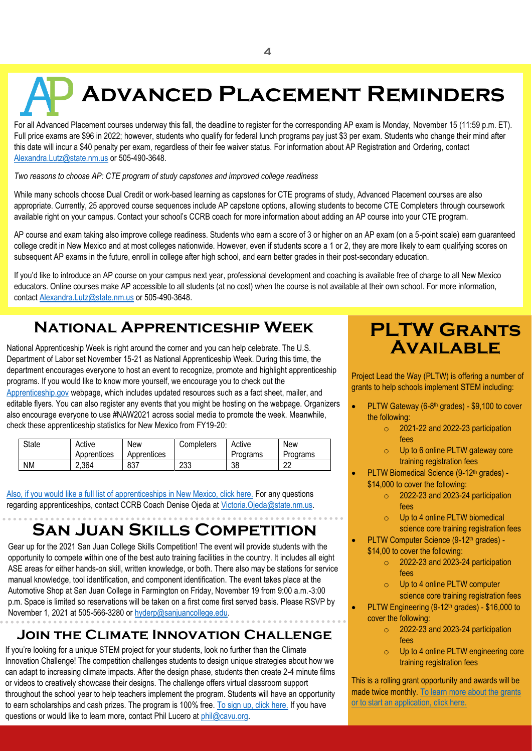# <span id="page-3-0"></span>**Advanced Placement Reminders**

For all Advanced Placement courses underway this fall, the deadline to register for the corresponding AP exam is Monday, November 15 (11:59 p.m. ET). Full price exams are \$96 in 2022; however, students who qualify for federal lunch programs pay just \$3 per exam. Students who change their mind after this date will incur a \$40 penalty per exam, regardless of their fee waiver status. For information about AP Registration and Ordering, contact [Alexandra.Lutz@state.nm.us](mailto:Alexandra.Lutz@state.nm.us) or 505-490-3648.

*Two reasons to choose AP: CTE program of study capstones and improved college readiness*

While many schools choose Dual Credit or work-based learning as capstones for CTE programs of study, Advanced Placement courses are also appropriate. Currently, 25 approved course sequences include AP capstone options, allowing students to become CTE Completers through coursework available right on your campus. Contact your school's CCRB coach for more information about adding an AP course into your CTE program.

AP course and exam taking also improve college readiness. Students who earn a score of 3 or higher on an AP exam (on a 5-point scale) earn guaranteed college credit in New Mexico and at most colleges nationwide. However, even if students score a 1 or 2, they are more likely to earn qualifying scores on subsequent AP exams in the future, enroll in college after high school, and earn better grades in their post-secondary education.

If you'd like to introduce an AP course on your campus next year, professional development and coaching is available free of charge to all New Mexico educators. Online courses make AP accessible to all students (at no cost) when the course is not available at their own school. For more information, contac[t Alexandra.Lutz@state.nm.us](mailto:Alexandra.Lutz@state.nm.us) or 505-490-3648.

## **National Apprenticeship Week**

<span id="page-3-1"></span>National Apprenticeship Week is right around the corner and you can help celebrate. The U.S. Department of Labor set November 15-21 as National Apprenticeship Week. During this time, the department encourages everyone to host an event to recognize, promote and highlight apprenticeship programs. If you would like to know more yourself, we encourage you to check out the [Apprenticeship.gov](https://gcc02.safelinks.protection.outlook.com/?url=https%3A%2F%2Fwww.apprenticeship.gov%2Fnational-apprenticeship-week&data=04%7C01%7CKatrina.Vigil%40state.nm.us%7C1ccad33e60f941a0bd1108d973b137bc%7C04aa6bf4d436426fbfa404b7a70e60ff%7C0%7C0%7C637668027708549290%7CUnknown%7CTWFpbGZsb3d8eyJWIjoiMC4wLjAwMDAiLCJQIjoiV2luMzIiLCJBTiI6Ik1haWwiLCJXVCI6Mn0%3D%7C1000&sdata=GgtlQtk%2FXA9RMqg%2FNY0sfCQ%2FkmUckqCHRS5unvmZy%2B4%3D&reserved=0) webpage, which includes updated resources such as a fact sheet, mailer, and editable flyers. You can also register any events that you might be hosting on the webpage. Organizers also encourage everyone to use #NAW2021 across social media to promote the week. Meanwhile, check these apprenticeship statistics for New Mexico from FY19-20:

| State     | Active      | New         | Completers | Active   | <b>New</b> |
|-----------|-------------|-------------|------------|----------|------------|
|           | Apprentices | Apprentices |            | Programs | Programs   |
| <b>NM</b> | 2,364       | 837         | 233        | 38       | ົດ<br>ᅩ    |

[Also, if you would like a full list of apprenticeships in New Mexico, click here.](https://docs.google.com/document/d/1l4rqTB4I-OUsCEkp71aoGOajv_-IY8Cd/edit?usp=sharing&ouid=102309455475836288619&rtpof=true&sd=true) For any questions regarding apprenticeships, contact CCRB Coach Denise Ojeda a[t Victoria.Ojeda@state.nm.us.](mailto:Victoria.Ojeda@state.nm.us)

# **San Juan Skills Competition**

Gear up for the 2021 San Juan College Skills Competition! The event will provide students with the opportunity to compete within one of the best auto training facilities in the country. It includes all eight ASE areas for either hands-on skill, written knowledge, or both. There also may be stations for service manual knowledge, tool identification, and component identification. The event takes place at the Automotive Shop at San Juan College in Farmington on Friday, November 19 from 9:00 a.m.-3:00 p.m. Space is limited so reservations will be taken on a first come first served basis. Please RSVP by November 1, 2021 at 505-566-3280 o[r hyderp@sanjuancollege.edu.](mailto:hyderp@sanjuancollege.edu)

### **Join the Climate Innovation Challenge**

If you're looking for a unique STEM project for your students, look no further than the Climate Innovation Challenge! The competition challenges students to design unique strategies about how we can adapt to increasing climate impacts. After the design phase, students then create 2-4 minute films or videos to creatively showcase their designs. The challenge offers virtual classroom support throughout the school year to help teachers implement the program. Students will have an opportunity to earn scholarships and cash prizes. The program is 100% free. [To sign up, click here.](https://gcc02.safelinks.protection.outlook.com/?url=http%3A%2F%2Fclimateinnovationchallenge.org%2F&data=04%7C01%7Celaine.perea%40state.nm.us%7Cd68e08858c97430cc2cf08d9934f9d1d%7C04aa6bf4d436426fbfa404b7a70e60ff%7C0%7C0%7C637702793508790123%7CUnknown%7CTWFpbGZsb3d8eyJWIjoiMC4wLjAwMDAiLCJQIjoiV2luMzIiLCJBTiI6Ik1haWwiLCJXVCI6Mn0%3D%7C2000&sdata=rcEvgadlw6cQrhnX3qf8CPIi%2FFF%2BbJTM5zpHojLKRQA%3D&reserved=0) If you have questions or would like to learn more, contact Phil Lucero at [phil@cavu.org.](mailto:phil@cavu.org)

## <span id="page-3-2"></span>**PLTW Grants Available**

Project Lead the Way (PLTW) is offering a number of grants to help schools implement STEM including:

- PLTW Gateway (6-8<sup>th</sup> grades) \$9,100 to cover the following:
	- $\circ$  2021-22 and 2022-23 participation fees
	- o Up to 6 online PLTW gateway core training registration fees
- PLTW Biomedical Science (9-12<sup>th</sup> grades) -\$14,000 to cover the following:
	- $\circ$  2022-23 and 2023-24 participation fees
	- o Up to 4 online PLTW biomedical science core training registration fees
- PLTW Computer Science (9-12<sup>th</sup> grades) -\$14,00 to cover the following:
	- $\circ$  2022-23 and 2023-24 participation fees
	- o Up to 4 online PLTW computer science core training registration fees
- PLTW Engineering (9-12<sup>th</sup> grades) \$16,000 to cover the following:
	- $\circ$  2022-23 and 2023-24 participation fees
	- o Up to 4 online PLTW engineering core training registration fees

This is a rolling grant opportunity and awards will be made twice monthly[. To learn more about the grants](https://www.pltw.org/experience-pltw/available-pltw-grants)  [or to start an application, click here.](https://www.pltw.org/experience-pltw/available-pltw-grants)